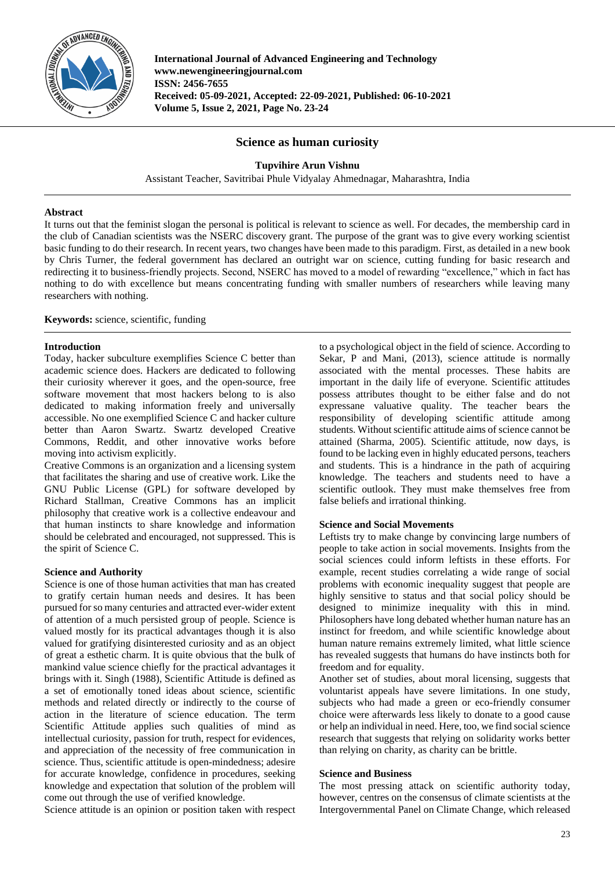

**International Journal of Advanced Engineering and Technology www.newengineeringjournal.com ISSN: 2456-7655 Received: 05-09-2021, Accepted: 22-09-2021, Published: 06-10-2021 Volume 5, Issue 2, 2021, Page No. 23-24**

# **Science as human curiosity**

**Tupvihire Arun Vishnu**

Assistant Teacher, Savitribai Phule Vidyalay Ahmednagar, Maharashtra, India

# **Abstract**

It turns out that the feminist slogan the personal is political is relevant to science as well. For decades, the membership card in the club of Canadian scientists was the NSERC discovery grant. The purpose of the grant was to give every working scientist basic funding to do their research. In recent years, two changes have been made to this paradigm. First, as detailed in a new book by Chris Turner, the federal government has declared an outright war on science, cutting funding for basic research and redirecting it to business-friendly projects. Second, NSERC has moved to a model of rewarding "excellence," which in fact has nothing to do with excellence but means concentrating funding with smaller numbers of researchers while leaving many researchers with nothing.

**Keywords:** science, scientific, funding

# **Introduction**

Today, hacker subculture exemplifies Science C better than academic science does. Hackers are dedicated to following their curiosity wherever it goes, and the open-source, free software movement that most hackers belong to is also dedicated to making information freely and universally accessible. No one exemplified Science C and hacker culture better than Aaron Swartz. Swartz developed Creative Commons, Reddit, and other innovative works before moving into activism explicitly.

Creative Commons is an organization and a licensing system that facilitates the sharing and use of creative work. Like the GNU Public License (GPL) for software developed by Richard Stallman, Creative Commons has an implicit philosophy that creative work is a collective endeavour and that human instincts to share knowledge and information should be celebrated and encouraged, not suppressed. This is the spirit of Science C.

#### **Science and Authority**

Science is one of those human activities that man has created to gratify certain human needs and desires. It has been pursued for so many centuries and attracted ever-wider extent of attention of a much persisted group of people. Science is valued mostly for its practical advantages though it is also valued for gratifying disinterested curiosity and as an object of great a esthetic charm. It is quite obvious that the bulk of mankind value science chiefly for the practical advantages it brings with it. Singh (1988), Scientific Attitude is defined as a set of emotionally toned ideas about science, scientific methods and related directly or indirectly to the course of action in the literature of science education. The term Scientific Attitude applies such qualities of mind as intellectual curiosity, passion for truth, respect for evidences, and appreciation of the necessity of free communication in science. Thus, scientific attitude is open-mindedness; adesire for accurate knowledge, confidence in procedures, seeking knowledge and expectation that solution of the problem will come out through the use of verified knowledge.

Science attitude is an opinion or position taken with respect

to a psychological object in the field of science. According to Sekar, P and Mani, (2013), science attitude is normally associated with the mental processes. These habits are important in the daily life of everyone. Scientific attitudes possess attributes thought to be either false and do not expressane valuative quality. The teacher bears the responsibility of developing scientific attitude among students. Without scientific attitude aims of science cannot be attained (Sharma, 2005). Scientific attitude, now days, is found to be lacking even in highly educated persons, teachers and students. This is a hindrance in the path of acquiring knowledge. The teachers and students need to have a scientific outlook. They must make themselves free from false beliefs and irrational thinking.

# **Science and Social Movements**

Leftists try to make change by convincing large numbers of people to take action in social movements. Insights from the social sciences could inform leftists in these efforts. For example, recent studies correlating a wide range of social problems with economic inequality suggest that people are highly sensitive to status and that social policy should be designed to minimize inequality with this in mind. Philosophers have long debated whether human nature has an instinct for freedom, and while scientific knowledge about human nature remains extremely limited, what little science has revealed suggests that humans do have instincts both for freedom and for equality.

Another set of studies, about moral licensing, suggests that voluntarist appeals have severe limitations. In one study, subjects who had made a green or eco-friendly consumer choice were afterwards less likely to donate to a good cause or help an individual in need. Here, too, we find social science research that suggests that relying on solidarity works better than relying on charity, as charity can be brittle.

# **Science and Business**

The most pressing attack on scientific authority today, however, centres on the consensus of climate scientists at the Intergovernmental Panel on Climate Change, which released